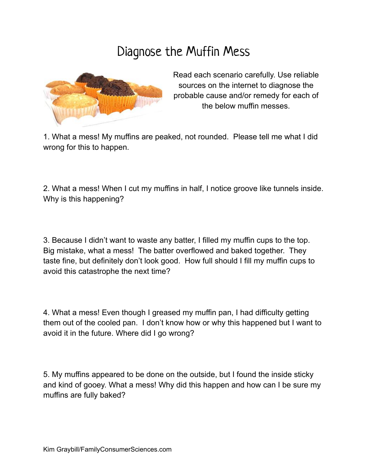## Diagnose the Muffin Mess



Read each scenario carefully. Use reliable sources on the internet to diagnose the probable cause and/or remedy for each of the below muffin messes.

1. What a mess! My muffins are peaked, not rounded. Please tell me what I did wrong for this to happen.

2. What a mess! When I cut my muffins in half, I notice groove like tunnels inside. Why is this happening?

3. Because I didn't want to waste any batter, I filled my muffin cups to the top. Big mistake, what a mess! The batter overflowed and baked together. They taste fine, but definitely don't look good. How full should I fill my muffin cups to avoid this catastrophe the next time?

4. What a mess! Even though I greased my muffin pan, I had difficulty getting them out of the cooled pan. I don't know how or why this happened but I want to avoid it in the future. Where did I go wrong?

5. My muffins appeared to be done on the outside, but I found the inside sticky and kind of gooey. What a mess! Why did this happen and how can I be sure my muffins are fully baked?